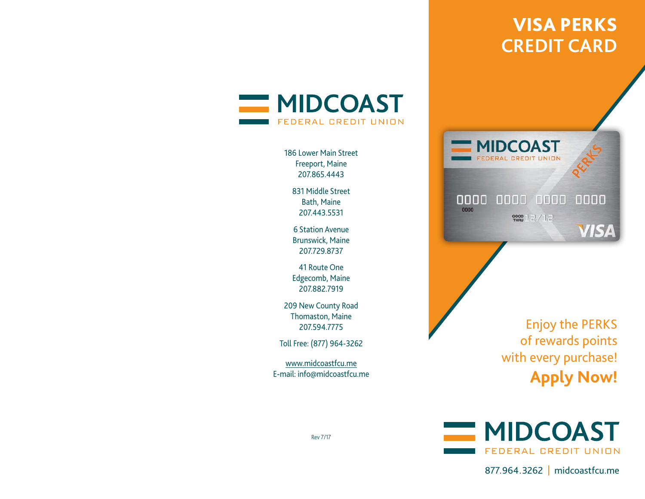# VISA PERKS**CREDIT CARD**



186 Lower Main StreetFreeport, Maine 207.865.4443

> 831 Middle StreetBath, Maine 207.443.5531

6 Station AvenueBrunswick, Maine 207.729.8737

41 Route OneEdgecomb, Maine 207.882.7919

209 New County Road Thomaston, Maine 207.594.7775

Toll Free: (877) 964-3262

www.midcoastfcu.me E-mail: info@midcoastfcu.me



Enjoy the PERKS of rewards points with every purchase! **Apply Now!**



877.964.3262 | midcoastfcu.me

Rev 7/17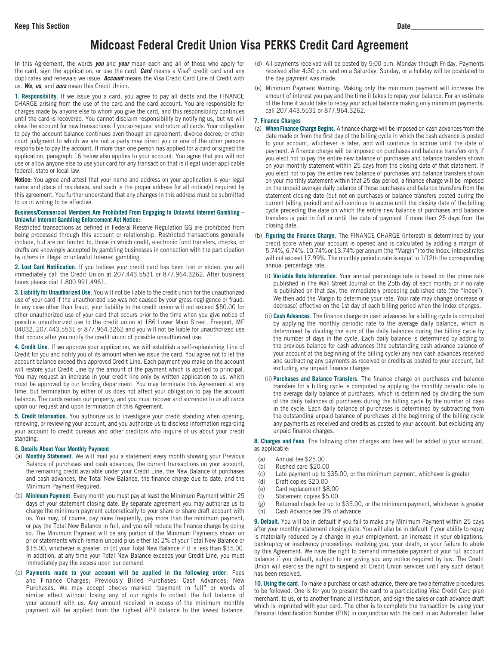## **Midcoast Federal Credit Union Visa PERKS Credit Card Agreement**

In this Agreement, the words *you* and *your* mean each and all of those who apply for the card, sign the application, or use the card. *Card* means a Visa® credit card and any duplicates and renewals we issue. *Account* means the Visa Credit Card Line of Credit with us. *We*, *us*, and *ours* mean this Credit Union.

**1. Responsibility**. If we issue you a card, you agree to pay all debts and the FINANCE CHARGE arising from the use of the card and the card account. You are responsible for charges made by anyone else to whom you give the card, and this responsibility continues until the card is recovered. You cannot disclaim responsibility by notifying us, but we will close the account for new transactions if you so request and return all cards. Your obligation to pay the account balance continues even though an agreement, divorce decree, or other court judgment to which we are not a party may direct you or one of the other persons responsible to pay the account. If more than one person has applied for a card or signed the application, paragraph 16 below also applies to your account. You agree that you will not use or allow anyone else to use your card for any transaction that is illegal under applicable federal, state or local law.

**Notice:** You agree and attest that your name and address on your application is your legal name and place of residence, and such is the proper address for all notice(s) required by this agreement. You further understand that any changes in this address must be submitted to us in writing to be effective.

#### **Business/Commercial Members Are Prohibited From Engaging In Unlawful Internet Gambling – Unlawful Internet Gambling Enforcement Act Notice:**

Restricted transactions as defined in Federal Reserve Regulation GG are prohibited from being processed through this account or relationship. Restricted transactions generally include, but are not limited to, those in which credit, electronic fund transfers, checks, or drafts are knowingly accepted by gambling businesses in connection with the participation by others in illegal or unlawful Internet gambling.

**2. Lost Card Notification**. If you believe your credit card has been lost or stolen, you will immediately call the Credit Union at 207.443.5531 or 877.964.3262. After business hours please dial 1.800.991.4961.

**3. Liability for Unauthorized Use**. You will not be liable to the credit union for the unauthorized use of your card if the unauthorized use was not caused by your gross negligence or fraud. In any case other than fraud, your liability to the credit union will not exceed \$50.00 for other unauthorized use of your card that occurs prior to the time when you give notice of possible unauthorized use to the credit union at 186 Lower Main Street, Freeport, ME 04032, 207.443.5531 or 877.964.3262 and you will not be liable for unauthorized use that occurs after you notify the credit union of possible unauthorized use.

**4. Credit Line**. If we approve your application, we will establish a self-replenishing Line of Credit for you and notify you of its amount when we issue the card. You agree not to let the account balance exceed this approved Credit Line. Each payment you make on the account will restore your Credit Line by the amount of the payment which is applied to principal. You may request an increase in your credit line only by written application to us, which must be approved by our lending department. You may terminate this Agreement at any time, but termination by either of us does not affect your obligation to pay the account balance. The cards remain our property, and you must recover and surrender to us all cards upon our request and upon termination of this Agreement.

**5. Credit Information**. You authorize us to investigate your credit standing when opening, renewing, or reviewing your account, and you authorize us to disclose information regarding your account to credit bureaus and other creditors who inquire of us about your credit standing.

#### **6. Details About Your Monthly Payment**

- (a) **Monthly Statement**. We will mail you a statement every month showing your Previous Balance of purchases and cash advances, the current transactions on your account, the remaining credit available under your Credit Line, the New Balance of purchases and cash advances, the Total New Balance, the finance charge due to date, and the Minimum Payment Required.
- (b) **Minimum Payment**. Every month you must pay at least the Minimum Payment within 25 days of your statement closing date. By separate agreement you may authorize us to charge the minimum payment automatically to your share or share draft account with us. You may, of course, pay more frequently, pay more than the minimum payment, or pay the Total New Balance in full, and you will reduce the finance charge by doing so. The Minimum Payment will be any portion of the Minimum Payments shown on prior statements which remain unpaid plus either (a) 2% of your Total New Balance or \$15.00, whichever is greater, or (b) your Total New Balance if it is less than \$15.00. In addition, at any time your Total New Balance exceeds your Credit Line, you must immediately pay the excess upon our demand.
- (c) **Payments made to your account will be applied in the following order**: Fees and Finance Charges; Previously Billed Purchases; Cash Advances; New Purchases. We may accept checks marked "payment in full" or words of similar effect without losing any of our rights to collect the full balance of your account with us. Any amount received in excess of the minimum monthly payment will be applied from the highest APR balance to the lowest balance.
- (d) All payments received will be posted by 5:00 p.m. Monday through Friday. Payments received after 4:30 p.m. and on a Saturday, Sunday, or a holiday will be postdated to the day payment was made.
- (e) Minimum Payment Warning: Making only the minimum payment will increase the amount of interest you pay and the time it takes to repay your balance. For an estimate of the time it would take to repay your actual balance making only minimum payments, call 207.443.5531 or 877.964.3262.

#### **7. Finance Charges**

- (a) **When Finance Charge Begins**. A finance charge will be imposed on cash advances from the date made or from the first day of the billing cycle in which the cash advance is posted to your account, whichever is later, and will continue to accrue until the date of payment. A finance charge will be imposed on purchases and balance transfers only if you elect not to pay the entire new balance of purchases and balance transfers shown on your monthly statement within 25 days from the closing date of that statement. If you elect not to pay the entire new balance of purchases and balance transfers shown on your monthly statement within that 25 day period, a finance charge will be imposed on the unpaid average daily balance of those purchases and balance transfers from the statement closing date (but not on purchases or balance transfers posted during the current billing period) and will continue to accrue until the closing date of the billing cycle preceding the date on which the entire new balance of purchases and balance transfers is paid in full or until the date of payment if more than 25 days from the closing date.
- (b) **Figuring the Finance Charge**. The FINANCE CHARGE (interest) is determined by your credit score when your account is opened and is calculated by adding a margin of 5.74%, 6.74%, 10.74% or 13.74% per annum (the "Margin") to the Index. Interest rates will not exceed 17.99%. The monthly periodic rate is equal to 1/12th the corresponding annual percentage rate.
	- (i) **Variable Rate Information**. Your annual percentage rate is based on the prime rate published in The Wall Street Journal on the 25th day of each month; or if no rate is published on that day, the immediately preceding published rate (the "Index"). We then add the Margin to determine your rate. Your rate may change (increase or decrease) effective on the 1st day of each billing period when the Index changes.
	- (ii) **Cash Advances**. The finance charge on cash advances for a billing cycle is computed by applying the monthly periodic rate to the average daily balance, which is determined by dividing the sum of the daily balances during the billing cycle by the number of days in the cycle. Each daily balance is determined by adding to the previous balance for cash advances (the outstanding cash advance balance of your account at the beginning of the billing cycle) any new cash advances received and subtracting any payments as received or credits as posted to your account, but excluding any unpaid finance charges.
	- (ii) **Purchases and Balance Transfers**. The finance charge on purchases and balance transfers for a billing cycle is computed by applying the monthly periodic rate to the average daily balance of purchases, which is determined by dividing the sum of the daily balances of purchases during the billing cycle by the number of days in the cycle. Each daily balance of purchases is determined by subtracting from the outstanding unpaid balance of purchases at the beginning of the billing cycle any payments as received and credits as posted to your account, but excluding any unpaid finance charges.

**8. Charges and Fees**. The following other charges and fees will be added to your account, as applicable:

- (a) Annual fee \$25.00
- (b) Rushed card \$20.00
- (c) Late payment up to \$35.00, or the minimum payment, whichever is greater
- (d) Draft copies \$20.00
- (e) Card replacement \$8.00
- Statement copies \$5.00
- (g) Returned check fee up to \$35.00, or the minimum payment, whichever is greater (h) Cash Advance fee 3% of advance

**9. Default**. You will be in default if you fail to make any Minimum Payment within 25 days after your monthly statement closing date. You will also be in default if your ability to repay is materially reduced by a change in your employment, an increase in your obligations, bankruptcy or insolvency proceedings involving you, your death, or your failure to abide by this Agreement. We have the right to demand immediate payment of your full account balance if you default, subject to our giving you any notice required by law. The Credit Union will exercise the right to suspend all Credit Union services until any such default has been resolved.

**10. Using the card**. To make a purchase or cash advance, there are two alternative procedures to be followed. One is for you to present the card to a participating Visa Credit Card plan merchant, to us, or to another financial institution, and sign the sales or cash advance draft which is imprinted with your card. The other is to complete the transaction by using your Personal Identification Number (PIN) in conjunction with the card in an Automated Teller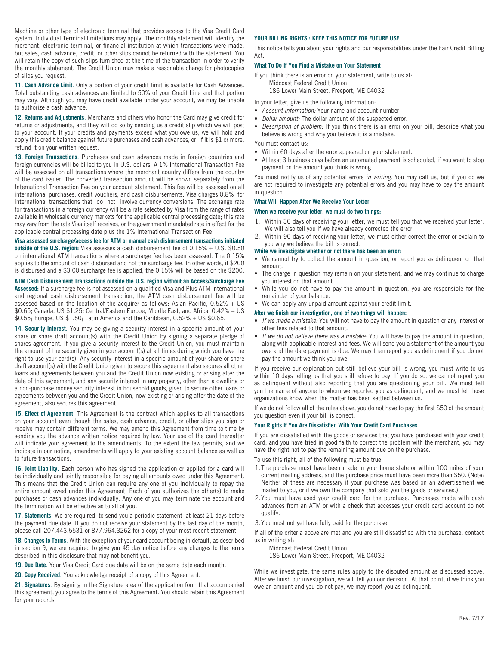Machine or other type of electronic terminal that provides access to the Visa Credit Card system. Individual Terminal limitations may apply. The monthly statement will identify the merchant, electronic terminal, or financial institution at which transactions were made, but sales, cash advance, credit, or other slips cannot be returned with the statement. You will retain the copy of such slips furnished at the time of the transaction in order to verify the monthly statement. The Credit Union may make a reasonable charge for photocopies of slips you request.

**11. Cash Advance Limit**. Only a portion of your credit limit is available for Cash Advances. Total outstanding cash advances are limited to 50% of your Credit Line and that portion may vary. Although you may have credit available under your account, we may be unable to authorize a cash advance.

**12. Returns and Adjustments**. Merchants and others who honor the Card may give credit for returns or adjustments, and they will do so by sending us a credit slip which we will post to your account. If your credits and payments exceed what you owe us, we will hold and apply this credit balance against future purchases and cash advances, or, if it is \$1 or more, refund it on your written request.

**13. Foreign Transactions**. Purchases and cash advances made in foreign countries and foreign currencies will be billed to you in U.S. dollars. A 1% International Transaction Fee will be assessed on all transactions where the merchant country differs from the country of the card issuer. The converted transaction amount will be shown separately from the International Transaction Fee on your account statement. This fee will be assessed on all international purchases, credit vouchers, and cash disbursements. Visa charges 0.8% for international transactions that do not involve currency conversions. The exchange rate for transactions in a foreign currency will be a rate selected by Visa from the range of rates available in wholesale currency markets for the applicable central processing date; this rate may vary from the rate Visa itself receives, or the government mandated rate in effect for the applicable central processing date plus the 1% International Transaction Fee.

**Visa assessed surcharge/access fee for ATM or manual cash disbursement transactions initiated outside of the U.S. region:** Visa assesses a cash disbursement fee of 0.15% + U.S. \$0.50 on international ATM transactions where a surcharge fee has been assessed. The 0.15% applies to the amount of cash disbursed and not the surcharge fee. In other words, if \$200 is disbursed and a \$3.00 surcharge fee is applied, the 0.15% will be based on the \$200.

**ATM Cash Disbursement Transactions outside the U.S. region without an Access/Surcharge Fee Assessed:** If a surcharge fee is not assessed on a qualified Visa and Plus ATM international and regional cash disbursement transaction, the ATM cash disbursement fee will be assessed based on the location of the acquirer as follows: Asian Pacific,  $0.52% + US$ \$0.65; Canada, US \$1.25; Central/Eastern Europe, Middle East, and Africa, 0.42% + US

\$0.55; Europe, US \$1.50; Latin America and the Caribbean, 0.52% + US \$0.65.

**14. Security Interest**. You may be giving a security interest in a specific amount of your share or share draft account(s) with the Credit Union by signing a separate pledge of shares agreement. If you give a security interest to the Credit Union, you must maintain the amount of the security given in your account(s) at all times during which you have the right to use your card(s). Any security interest in a specific amount of your share or share draft account(s) with the Credit Union given to secure this agreement also secures all other loans and agreements between you and the Credit Union now existing or arising after the date of this agreement; and any security interest in any property, other than a dwelling or a non-purchase money security interest in household goods, given to secure other loans or agreements between you and the Credit Union, now existing or arising after the date of the agreement, also secures this agreement.

**15. Effect of Agreement**. This Agreement is the contract which applies to all transactions on your account even though the sales, cash advance, credit, or other slips you sign or receive may contain different terms. We may amend this Agreement from time to time by sending you the advance written notice required by law. Your use of the card thereafter will indicate your agreement to the amendments. To the extent the law permits, and we indicate in our notice, amendments will apply to your existing account balance as well as to future transactions.

**16. Joint Liability**. Each person who has signed the application or applied for a card will be individually and jointly responsible for paying all amounts owed under this Agreement. This means that the Credit Union can require any one of you individually to repay the entire amount owed under this Agreement. Each of you authorizes the other(s) to make purchases or cash advances individually. Any one of you may terminate the account and the termination will be effective as to all of you.

**17. Statements**. We are required to send you a periodic statement at least 21 days before the payment due date. If you do not receive your statement by the last day of the month, please call 207.443.5531 or 877.964.3262 for a copy of your most recent statement.

**18. Changes to Terms**. With the exception of your card account being in default, as described in section 9, we are required to give you 45 day notice before any changes to the terms described in this disclosure that may not benefit you.

**19. Due Date**. Your Visa Credit Card due date will be on the same date each month.

**20. Copy Received**. You acknowledge receipt of a copy of this Agreement.

**21. Signatures**. By signing in the Signature area of the application form that accompanied this agreement, you agree to the terms of this Agreement. You should retain this Agreement for your records.

#### **YOUR BILLING RIGHTS : KEEP THIS NOTICE FOR FUTURE USE**

This notice tells you about your rights and our responsibilities under the Fair Credit Billing Act.

#### **What To Do If You Find a Mistake on Your Statement**

If you think there is an error on your statement, write to us at: Midcoast Federal Credit Union

186 Lower Main Street, Freeport, ME 04032

In your letter, give us the following information:

- *Account information:* Your name and account number.
- *Dollar amount:* The dollar amount of the suspected error.
- *Description of problem:* If you think there is an error on your bill, describe what you believe is wrong and why you believe it is a mistake.

You must contact us:

- Within 60 days after the error appeared on your statement.
- At least 3 business days before an automated payment is scheduled, if you want to stop payment on the amount you think is wrong.

You must notify us of any potential errors *in writing*. You may call us, but if you do we are not required to investigate any potential errors and you may have to pay the amount in question.

#### **What Will Happen After We Receive Your Letter**

#### **When we receive your letter, we must do two things:**

- 1. Within 30 days of receiving your letter, we must tell you that we received your letter. We will also tell you if we have already corrected the error.
- 2. Within 90 days of receiving your letter, we must either correct the error or explain to you why we believe the bill is correct.

#### **While we investigate whether or not there has been an error:**

- We cannot try to collect the amount in question, or report you as delinquent on that amount.
- The charge in question may remain on your statement, and we may continue to charge you interest on that amount.
- While you do not have to pay the amount in question, you are responsible for the remainder of your balance.
- We can apply any unpaid amount against your credit limit.

#### **After we finish our investigation, one of two things will happen:**

- *If we made a mistake:* You will not have to pay the amount in question or any interest or other fees related to that amount.
- *If we do not believe there was a mistake:* You will have to pay the amount in question, along with applicable interest and fees. We will send you a statement of the amount you owe and the date payment is due. We may then report you as delinquent if you do not pay the amount we think you owe.

If you receive our explanation but still believe your bill is wrong, you must write to us within 10 days telling us that you still refuse to pay. If you do so, we cannot report you as delinquent without also reporting that you are questioning your bill. We must tell you the name of anyone to whom we reported you as delinquent, and we must let those organizations know when the matter has been settled between us.

If we do not follow all of the rules above, you do not have to pay the first \$50 of the amount you question even if your bill is correct.

#### **Your Rights If You Are Dissatisfied With Your Credit Card Purchases**

If you are dissatisfied with the goods or services that you have purchased with your credit card, and you have tried in good faith to correct the problem with the merchant, you may have the right not to pay the remaining amount due on the purchase.

To use this right, all of the following must be true:

- 1.The purchase must have been made in your home state or within 100 miles of your current mailing address, and the purchase price must have been more than \$50. (Note: Neither of these are necessary if your purchase was based on an advertisement we mailed to you, or if we own the company that sold you the goods or services.)
- 2.You must have used your credit card for the purchase. Purchases made with cash advances from an ATM or with a check that accesses your credit card account do not qualify.

3.You must not yet have fully paid for the purchase.

If all of the criteria above are met and you are still dissatisfied with the purchase, contact us in writing at:

Midcoast Federal Credit Union

186 Lower Main Street, Freeport, ME 04032

While we investigate, the same rules apply to the disputed amount as discussed above. After we finish our investigation, we will tell you our decision. At that point, if we think you owe an amount and you do not pay, we may report you as delinquent.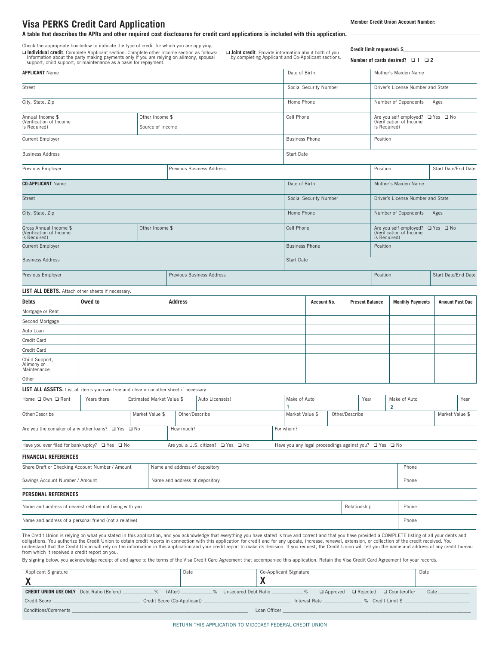### **Visa PERKS Credit Card Application**

**A table that describes the APRs and other required cost disclosures for credit card applications is included with this application.**

Check the appropriate box below to indicate the type of credit for which you are applying.

□ Individua

**Credit limit requested: \$\_\_\_\_\_\_\_\_\_\_\_\_\_\_\_\_\_\_\_\_\_\_\_\_\_\_\_\_\_**

**\_\_\_\_\_\_\_\_\_\_\_\_\_\_\_\_\_\_\_\_\_\_\_\_\_\_\_\_\_\_\_\_\_\_\_\_\_\_\_\_\_\_\_\_\_\_\_\_\_**

| <b>□ Individual credit</b> . Complete Applicant section. Complete other income section as follows:<br>Information about the party making payments only if you are relying on alimony, spousal<br>support, child support, or maintenance a |                 |                  |                                |                           |                                    |                                   |                                   | Joint credit. Provide information about both of you<br>by completing Applicant and Co-Applicant sections. |                        |                                                                                     | <b>DIGAIL HILL IGUAGOLGA.</b><br>Number of cards desired? $\Box$ 1 $\Box$ 2 |                                   |  |
|-------------------------------------------------------------------------------------------------------------------------------------------------------------------------------------------------------------------------------------------|-----------------|------------------|--------------------------------|---------------------------|------------------------------------|-----------------------------------|-----------------------------------|-----------------------------------------------------------------------------------------------------------|------------------------|-------------------------------------------------------------------------------------|-----------------------------------------------------------------------------|-----------------------------------|--|
| <b>APPLICANT Name</b>                                                                                                                                                                                                                     |                 |                  |                                |                           |                                    | Date of Birth                     |                                   |                                                                                                           | Mother's Maiden Name   |                                                                                     |                                                                             |                                   |  |
| Street                                                                                                                                                                                                                                    |                 |                  |                                |                           |                                    | Social Security Number            |                                   | Driver's License Number and State                                                                         |                        |                                                                                     |                                                                             |                                   |  |
| City, State, Zip                                                                                                                                                                                                                          |                 |                  |                                |                           |                                    |                                   | Home Phone                        |                                                                                                           |                        |                                                                                     | Number of Dependents                                                        | Ages                              |  |
| Annual Income \$                                                                                                                                                                                                                          |                 |                  | Other Income \$                |                           |                                    |                                   |                                   | Cell Phone                                                                                                |                        |                                                                                     |                                                                             | Are you self employed? □ Yes □ No |  |
| (Verification of Income<br>is Required)                                                                                                                                                                                                   |                 | Source of Income |                                |                           |                                    |                                   |                                   | is Required)                                                                                              |                        | (Verification of Income                                                             |                                                                             |                                   |  |
| <b>Current Employer</b>                                                                                                                                                                                                                   |                 |                  |                                |                           |                                    |                                   | <b>Business Phone</b><br>Position |                                                                                                           |                        |                                                                                     |                                                                             |                                   |  |
| <b>Business Address</b>                                                                                                                                                                                                                   |                 |                  |                                |                           |                                    |                                   | Start Date                        |                                                                                                           |                        |                                                                                     |                                                                             |                                   |  |
| Previous Employer                                                                                                                                                                                                                         |                 |                  |                                | Previous Business Address |                                    |                                   |                                   |                                                                                                           | Position               |                                                                                     | Start Date/End Date                                                         |                                   |  |
| <b>CO-APPLICANT</b> Name                                                                                                                                                                                                                  |                 |                  |                                |                           |                                    |                                   |                                   | Date of Birth                                                                                             |                        |                                                                                     | Mother's Maiden Name                                                        |                                   |  |
| <b>Street</b>                                                                                                                                                                                                                             |                 |                  |                                |                           |                                    |                                   |                                   | Social Security Number                                                                                    |                        |                                                                                     | Driver's License Number and State                                           |                                   |  |
| City, State, Zip                                                                                                                                                                                                                          |                 |                  |                                |                           |                                    |                                   |                                   | Home Phone                                                                                                |                        |                                                                                     | Number of Dependents<br>Ages                                                |                                   |  |
| Gross Annual Income \$<br>Other Income \$<br>(Verification of Income<br>is Required)                                                                                                                                                      |                 |                  |                                |                           |                                    |                                   |                                   | Cell Phone                                                                                                |                        | Are you self employed? $\Box$ Yes $\Box$ No (Verification of Income<br>is Required) |                                                                             |                                   |  |
| <b>Current Employer</b>                                                                                                                                                                                                                   |                 |                  |                                |                           |                                    |                                   |                                   | <b>Business Phone</b>                                                                                     |                        | Position                                                                            |                                                                             |                                   |  |
| <b>Business Address</b>                                                                                                                                                                                                                   |                 |                  |                                |                           |                                    |                                   | Start Date                        |                                                                                                           |                        |                                                                                     |                                                                             |                                   |  |
| Previous Employer                                                                                                                                                                                                                         |                 |                  |                                | Previous Business Address |                                    |                                   |                                   | Position                                                                                                  |                        | Start Date/End Date                                                                 |                                                                             |                                   |  |
| LIST ALL DEBTS. Attach other sheets if necessary.                                                                                                                                                                                         |                 |                  |                                |                           |                                    |                                   |                                   |                                                                                                           |                        |                                                                                     |                                                                             |                                   |  |
| Debts                                                                                                                                                                                                                                     | Owed to         |                  |                                | <b>Address</b>            |                                    |                                   |                                   | <b>Account No.</b>                                                                                        | <b>Present Balance</b> |                                                                                     | <b>Monthly Payments</b>                                                     | <b>Amount Past Due</b>            |  |
| Mortgage or Rent                                                                                                                                                                                                                          |                 |                  |                                |                           |                                    |                                   |                                   |                                                                                                           |                        |                                                                                     |                                                                             |                                   |  |
| Second Mortgage                                                                                                                                                                                                                           |                 |                  |                                |                           |                                    |                                   |                                   |                                                                                                           |                        |                                                                                     |                                                                             |                                   |  |
| Auto Loan                                                                                                                                                                                                                                 |                 |                  |                                |                           |                                    |                                   |                                   |                                                                                                           |                        |                                                                                     |                                                                             |                                   |  |
| Credit Card                                                                                                                                                                                                                               |                 |                  |                                |                           |                                    |                                   |                                   |                                                                                                           |                        |                                                                                     |                                                                             |                                   |  |
| Credit Card                                                                                                                                                                                                                               |                 |                  |                                |                           |                                    |                                   |                                   |                                                                                                           |                        |                                                                                     |                                                                             |                                   |  |
| Child Support,<br>Alimony or<br>Maintenance                                                                                                                                                                                               |                 |                  |                                |                           |                                    |                                   |                                   |                                                                                                           |                        |                                                                                     |                                                                             |                                   |  |
| Other                                                                                                                                                                                                                                     |                 |                  |                                |                           |                                    |                                   |                                   |                                                                                                           |                        |                                                                                     |                                                                             |                                   |  |
| LIST ALL ASSETS. List all items you own free and clear on another sheet if necessary.                                                                                                                                                     |                 |                  |                                |                           |                                    |                                   |                                   |                                                                                                           |                        |                                                                                     |                                                                             |                                   |  |
| Home □ Own □ Rent<br>Estimated Market Value \$<br>Years there                                                                                                                                                                             |                 | Auto License(s)  |                                |                           | Make of Auto                       |                                   | Year                              | Make of Auto<br>$\overline{\mathbf{2}}$                                                                   |                        |                                                                                     |                                                                             |                                   |  |
| Other/Describe                                                                                                                                                                                                                            | Market Value \$ |                  | Other/Describe                 |                           |                                    | Market Value \$<br>Other/Describe |                                   |                                                                                                           |                        | Market Value \$                                                                     |                                                                             |                                   |  |
| Are you the comaker of any other loans? □ Yes □ No                                                                                                                                                                                        |                 |                  |                                | How much?                 |                                    |                                   | For whom?                         |                                                                                                           |                        |                                                                                     |                                                                             |                                   |  |
| Have you ever filed for bankruptcy? □ Yes □ No                                                                                                                                                                                            |                 |                  |                                |                           | Are you a U.S. citizen? ■ Yes ■ No |                                   |                                   | Have you any legal proceedings against you? □ Yes □ No                                                    |                        |                                                                                     |                                                                             |                                   |  |
| <b>FINANCIAL REFERENCES</b>                                                                                                                                                                                                               |                 |                  |                                |                           |                                    |                                   |                                   |                                                                                                           |                        |                                                                                     |                                                                             |                                   |  |
| Share Draft or Checking Account Number / Amount                                                                                                                                                                                           |                 |                  | Name and address of depository |                           |                                    |                                   |                                   |                                                                                                           | Phone                  |                                                                                     |                                                                             |                                   |  |
| Savings Account Number / Amount                                                                                                                                                                                                           |                 |                  | Name and address of depository |                           |                                    |                                   |                                   | Phone                                                                                                     |                        |                                                                                     |                                                                             |                                   |  |
| <b>PERSONAL REFERENCES</b>                                                                                                                                                                                                                |                 |                  |                                |                           |                                    |                                   |                                   |                                                                                                           |                        |                                                                                     |                                                                             |                                   |  |
| Name and address of nearest relative not living with you<br>Relationship                                                                                                                                                                  |                 |                  |                                | Phone                     |                                    |                                   |                                   |                                                                                                           |                        |                                                                                     |                                                                             |                                   |  |

Name and address of a personal friend (not a relative) Phone

The Credit Union is relying on what you stated in this application, and you acknowledge that everything you have stated is true and correct and that you have provided a COMPLETE listing of all your debts and obligations. You authorize the Credit Union to obtain credit reports in connection with this application for credit and for any update, increase, renewal, extension, or collection of the credit received. You<br>understand tha from which it received a credit report on you.

By signing below, you acknowledge receipt of and agree to the terms of the Visa Credit Card Agreement that accompanied this application. Retain the Visa Credit Card Agreement for your records.

| Applicant Signature                                      | Date                              | Co-Applicant Signature |                                 |                   | Date |
|----------------------------------------------------------|-----------------------------------|------------------------|---------------------------------|-------------------|------|
|                                                          |                                   |                        |                                 |                   |      |
| <b>CREDIT UNION USE ONLY</b> Debt Ratio (Before)<br>$\%$ | (After)<br>% Unsecured Debt Ratio | $\%$                   | $\Box$ Approved $\Box$ Rejected | □ Counteroffer    | Date |
| Credit Score                                             | Credit Score (Co-Applicant)       | Interest Rate          |                                 | % Credit Limit \$ |      |
| <b>Conditions/Comments</b>                               |                                   | Loan Officer           |                                 |                   |      |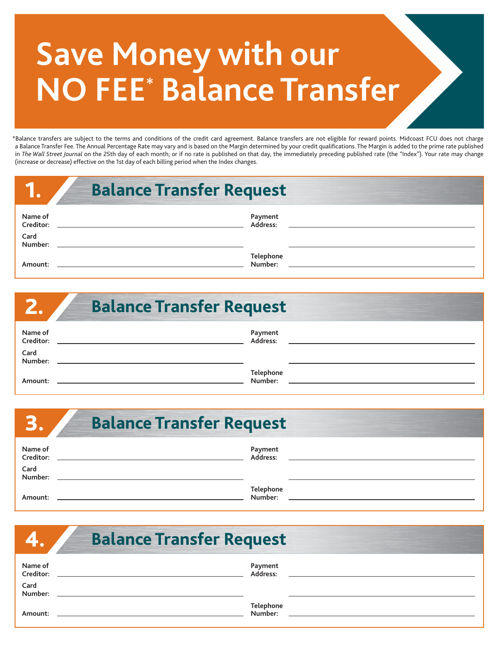# **Save Money with our NO FEE\* Balance Transfer**

\*Balance transfers are subject to the terms and conditions of the credit card agreement. Balance transfers are not eligible for reward points. Midcoast FCU does not charge a Balance Transfer Fee. The Annual Percentage Rate may vary and is based on the Margin determined by your credit qualifications. The Margin is added to the prime rate published in The Wall Street Journal on the 25th day of each month; or if no rate is published on that day, the immediately preceding published rate (the "Index"). Your rate may change (increase or decrease) effective on the 1st day of each billing period when the Index changes.

|                                         | <b>Balance Transfer Request</b> |
|-----------------------------------------|---------------------------------|
| Name of<br>Creditor:<br>Card<br>Number: | Payment<br>Address:             |
| Amount:                                 | Telephone<br>Number:            |

|                                         | <b>Balance Transfer Request</b> |
|-----------------------------------------|---------------------------------|
| Name of<br>Creditor:<br>Card<br>Number: | Payment<br>Address:             |
| Amount:                                 | Telephone<br>Number:            |

| E                    | <b>Balance Transfer Request</b> |  |  |  |
|----------------------|---------------------------------|--|--|--|
| Name of<br>Creditor: | Payment<br>Address:             |  |  |  |
| Card<br>Number:      |                                 |  |  |  |
| Amount:              | <b>Telephone</b><br>Number:     |  |  |  |

|                      | <b>Balance Transfer Request</b> |  |
|----------------------|---------------------------------|--|
| Name of<br>Creditor: | Payment<br>Address:             |  |
| Card<br>Number:      |                                 |  |
| Amount:              | Telephone<br>Number:            |  |